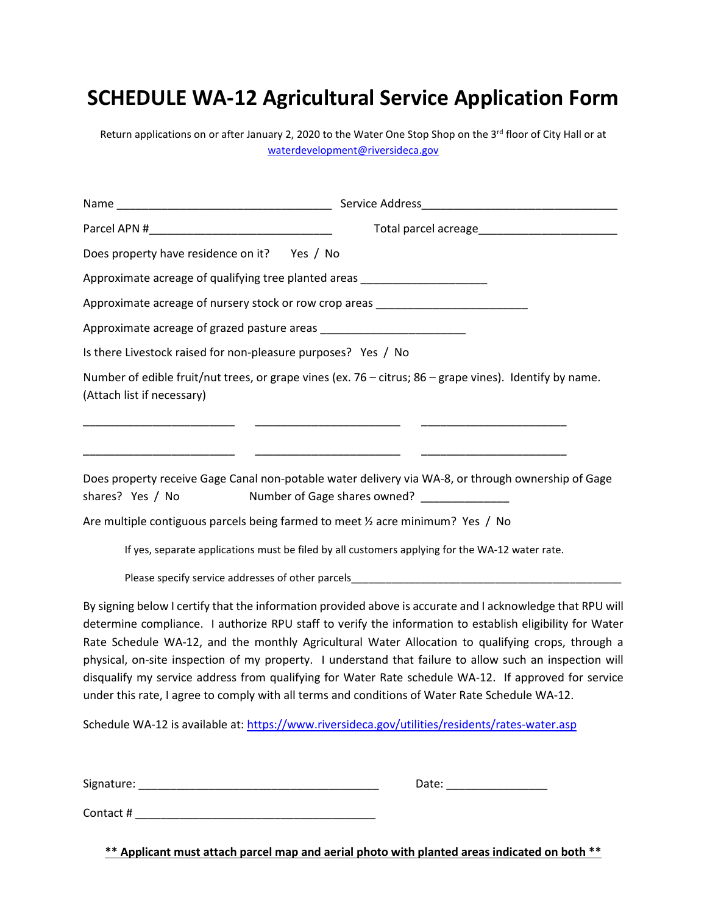# **SCHEDULE WA-12 Agricultural Service Application Form**

Return applications on or after January 2, 2020 to the Water One Stop Shop on the 3rd floor of City Hall or at [waterdevelopment@riversideca.gov](mailto:waterdevelopment@riversideca.gov)

| Does property have residence on it? Yes / No                  |                                                                                                                                                                                                                                                                                                                                                                                                                                                                                                                                                                                                                                                                                                                                                     |
|---------------------------------------------------------------|-----------------------------------------------------------------------------------------------------------------------------------------------------------------------------------------------------------------------------------------------------------------------------------------------------------------------------------------------------------------------------------------------------------------------------------------------------------------------------------------------------------------------------------------------------------------------------------------------------------------------------------------------------------------------------------------------------------------------------------------------------|
|                                                               | Approximate acreage of qualifying tree planted areas ___________________________                                                                                                                                                                                                                                                                                                                                                                                                                                                                                                                                                                                                                                                                    |
|                                                               | Approximate acreage of nursery stock or row crop areas _________________________                                                                                                                                                                                                                                                                                                                                                                                                                                                                                                                                                                                                                                                                    |
|                                                               |                                                                                                                                                                                                                                                                                                                                                                                                                                                                                                                                                                                                                                                                                                                                                     |
| Is there Livestock raised for non-pleasure purposes? Yes / No |                                                                                                                                                                                                                                                                                                                                                                                                                                                                                                                                                                                                                                                                                                                                                     |
| (Attach list if necessary)                                    | Number of edible fruit/nut trees, or grape vines (ex. 76 – citrus; 86 – grape vines). Identify by name.                                                                                                                                                                                                                                                                                                                                                                                                                                                                                                                                                                                                                                             |
| shares? Yes / No                                              | Does property receive Gage Canal non-potable water delivery via WA-8, or through ownership of Gage<br>Number of Gage shares owned? _______________                                                                                                                                                                                                                                                                                                                                                                                                                                                                                                                                                                                                  |
|                                                               | Are multiple contiguous parcels being farmed to meet $\frac{1}{2}$ acre minimum? Yes / No                                                                                                                                                                                                                                                                                                                                                                                                                                                                                                                                                                                                                                                           |
|                                                               | If yes, separate applications must be filed by all customers applying for the WA-12 water rate.                                                                                                                                                                                                                                                                                                                                                                                                                                                                                                                                                                                                                                                     |
|                                                               | Please specify service addresses of other parcels________________________________                                                                                                                                                                                                                                                                                                                                                                                                                                                                                                                                                                                                                                                                   |
|                                                               | By signing below I certify that the information provided above is accurate and I acknowledge that RPU will<br>determine compliance. I authorize RPU staff to verify the information to establish eligibility for Water<br>Rate Schedule WA-12, and the monthly Agricultural Water Allocation to qualifying crops, through a<br>physical, on-site inspection of my property. I understand that failure to allow such an inspection will<br>disqualify my service address from qualifying for Water Rate schedule WA-12. If approved for service<br>under this rate, I agree to comply with all terms and conditions of Water Rate Schedule WA-12.<br>Schedule WA-12 is available at: https://www.riversideca.gov/utilities/residents/rates-water.asp |
|                                                               |                                                                                                                                                                                                                                                                                                                                                                                                                                                                                                                                                                                                                                                                                                                                                     |

**\*\* Applicant must attach parcel map and aerial photo with planted areas indicated on both \*\***